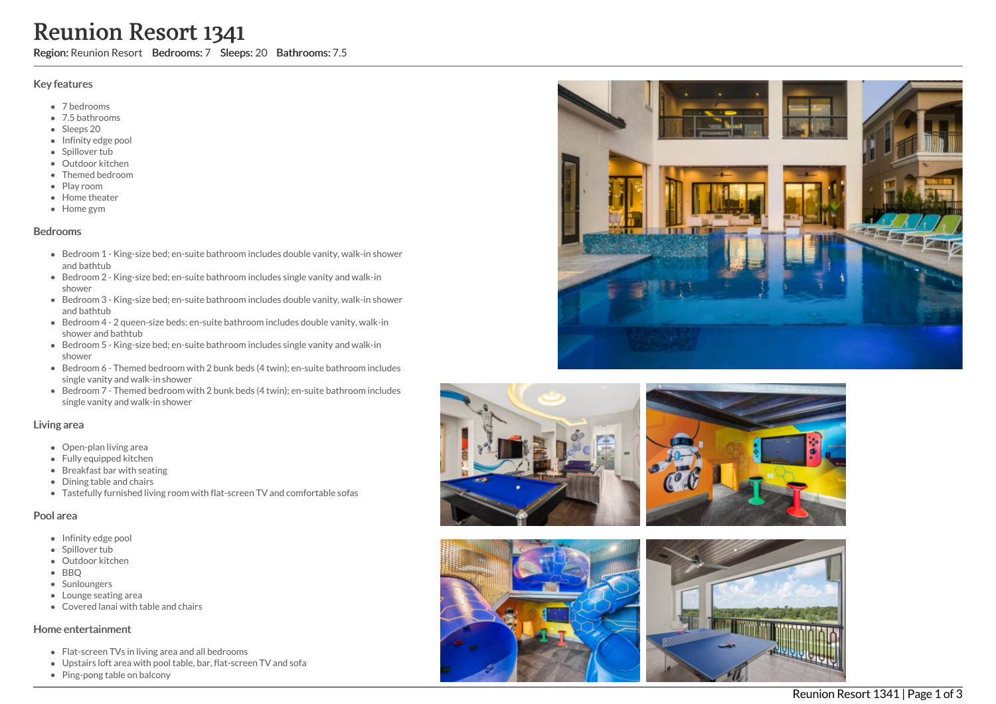# Reunion Resort 1341

Region: Reunion Resort Bedrooms: 7 Sleeps: 20 Bathrooms: 7.5

### Key features

- 7 b e d r o o m s
- 7.5 bathrooms
- Sleeps 20
- Infinity edge pool
- Spillover tub
- Outdoor kitchen
- Themed bedroom
- Play room
- Home theater
- Home gym

#### **Bedrooms**

- Bedroom 1 King-size bed; en-suite bathroom includes double vanity, walk-in shower and bathtub
- Bedroom 2 King-size bed; en-suite bathroom includes single vanity and walk-in s h o w e r
- Bedroom 3 King-size bed; en-suite bathroom includes double vanity, walk-in shower and bathtub
- Bedroom 4 2 queen-size beds; en-suite bathroom includes double vanity, walk-in shower and bathtub
- Bedroom 5 King-size bed; en-suite bathroom includes single vanity and walk-in s h o w e r
- Bedroom 6 Themed bedroom with 2 bunk beds (4 twin); en-suite bathroom includes single vanity and walk-in shower
- Bedroom 7 Themed bedroom with 2 bunk beds (4 twin); en-suite bathroom includes single vanity and walk-in shower

#### Living area

- Open-plan living area
- Fully equipped kitchen
- Breakfast bar with seating
- Dining table and chairs
- Tastefully furnished living room with flat-screen TV and comfortable sofas

#### Pool area

- Infinity edge pool
- Spillover tub
- Outdoor kitchen
- BBQ
- Sunloungers
- Lounge seating ar e a
- Covered lanai with table and chairs

#### Home entertainment

- Flat-screen TVs in living area and all bedrooms
- Upstairs loft area with pool table, bar, flat-screen TV and sofa
- Ping-pong table on balcony









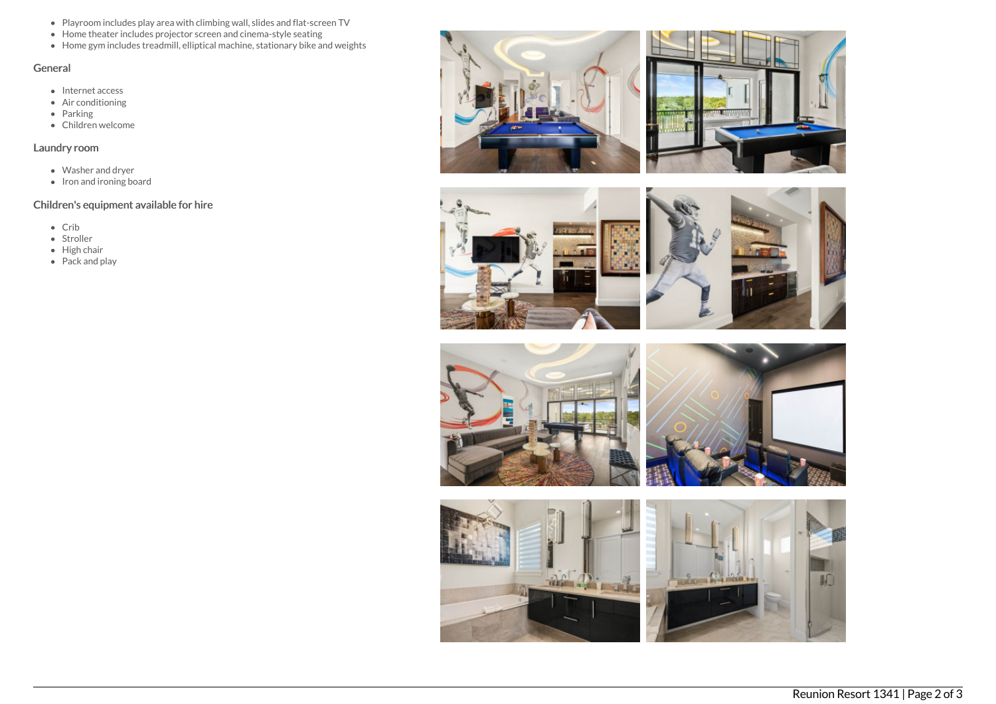- Playroom includes play area with climbing wall, slides and flat-screen TV
- Home theater includes projector screen and cinema-style seating
- Home gym includes treadmill, elliptical machine, stationary bike and weights

# General

- Internet access
- Air conditioning
- Parking
- Children welcome

## Laundry room

- Washer and dryer
- $\bullet$  Iron and ironing board

# Children's equipment available for hire

- Crib
- Stroller
- High chair
- Pack and play